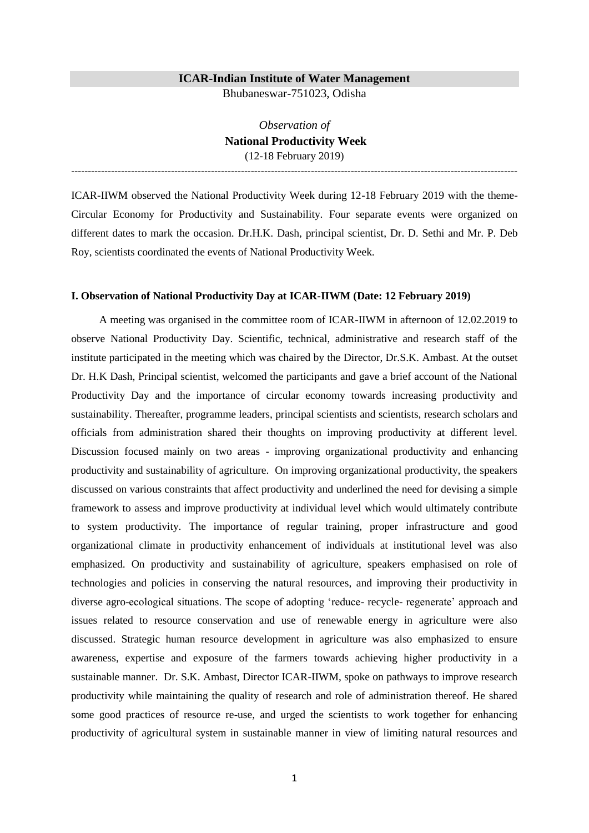### **ICAR-Indian Institute of Water Management**

Bhubaneswar-751023, Odisha

*Observation of* **National Productivity Week** (12-18 February 2019)

--------------------------------------------------------------------------------------------------------------------------------------

ICAR-IIWM observed the National Productivity Week during 12-18 February 2019 with the theme-Circular Economy for Productivity and Sustainability. Four separate events were organized on different dates to mark the occasion. Dr.H.K. Dash, principal scientist, Dr. D. Sethi and Mr. P. Deb Roy, scientists coordinated the events of National Productivity Week.

#### **I. Observation of National Productivity Day at ICAR-IIWM (Date: 12 February 2019)**

A meeting was organised in the committee room of ICAR-IIWM in afternoon of 12.02.2019 to observe National Productivity Day. Scientific, technical, administrative and research staff of the institute participated in the meeting which was chaired by the Director, Dr.S.K. Ambast. At the outset Dr. H.K Dash, Principal scientist, welcomed the participants and gave a brief account of the National Productivity Day and the importance of circular economy towards increasing productivity and sustainability. Thereafter, programme leaders, principal scientists and scientists, research scholars and officials from administration shared their thoughts on improving productivity at different level. Discussion focused mainly on two areas - improving organizational productivity and enhancing productivity and sustainability of agriculture. On improving organizational productivity, the speakers discussed on various constraints that affect productivity and underlined the need for devising a simple framework to assess and improve productivity at individual level which would ultimately contribute to system productivity. The importance of regular training, proper infrastructure and good organizational climate in productivity enhancement of individuals at institutional level was also emphasized. On productivity and sustainability of agriculture, speakers emphasised on role of technologies and policies in conserving the natural resources, and improving their productivity in diverse agro-ecological situations. The scope of adopting 'reduce- recycle- regenerate' approach and issues related to resource conservation and use of renewable energy in agriculture were also discussed. Strategic human resource development in agriculture was also emphasized to ensure awareness, expertise and exposure of the farmers towards achieving higher productivity in a sustainable manner. Dr. S.K. Ambast, Director ICAR-IIWM, spoke on pathways to improve research productivity while maintaining the quality of research and role of administration thereof. He shared some good practices of resource re-use, and urged the scientists to work together for enhancing productivity of agricultural system in sustainable manner in view of limiting natural resources and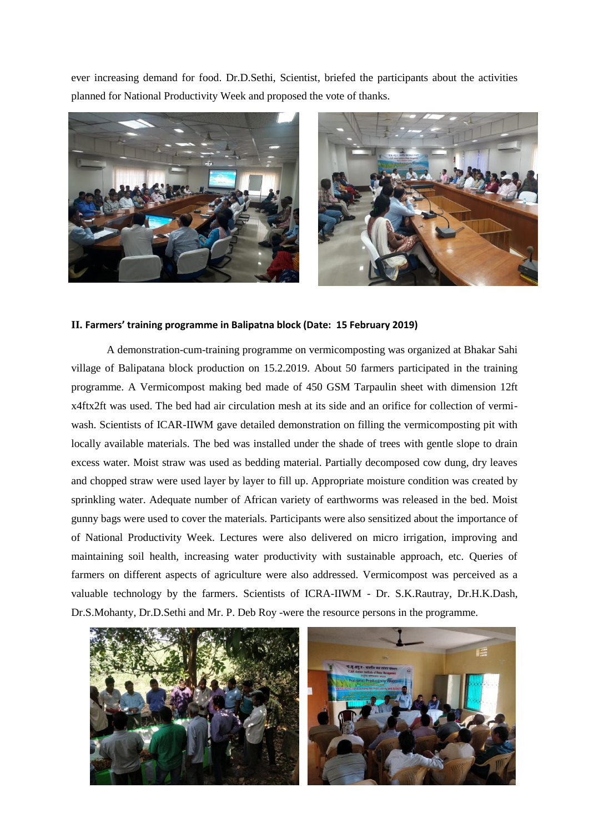ever increasing demand for food. Dr.D.Sethi, Scientist, briefed the participants about the activities planned for National Productivity Week and proposed the vote of thanks.



# **II. Farmers' training programme in Balipatna block (Date: 15 February 2019)**

A demonstration-cum-training programme on vermicomposting was organized at Bhakar Sahi village of Balipatana block production on 15.2.2019. About 50 farmers participated in the training programme. A Vermicompost making bed made of 450 GSM Tarpaulin sheet with dimension 12ft x4ftx2ft was used. The bed had air circulation mesh at its side and an orifice for collection of vermiwash. Scientists of ICAR-IIWM gave detailed demonstration on filling the vermicomposting pit with locally available materials. The bed was installed under the shade of trees with gentle slope to drain excess water. Moist straw was used as bedding material. Partially decomposed cow dung, dry leaves and chopped straw were used layer by layer to fill up. Appropriate moisture condition was created by sprinkling water. Adequate number of African variety of earthworms was released in the bed. Moist gunny bags were used to cover the materials. Participants were also sensitized about the importance of of National Productivity Week. Lectures were also delivered on micro irrigation, improving and maintaining soil health, increasing water productivity with sustainable approach, etc. Queries of farmers on different aspects of agriculture were also addressed. Vermicompost was perceived as a valuable technology by the farmers. Scientists of ICRA-IIWM - Dr. S.K.Rautray, Dr.H.K.Dash, Dr.S.Mohanty, Dr.D.Sethi and Mr. P. Deb Roy -were the resource persons in the programme.

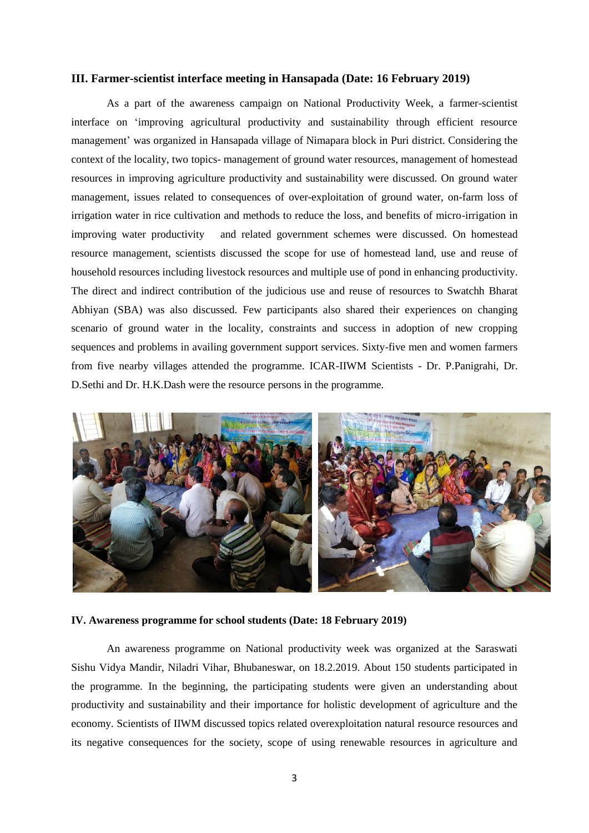## **III. Farmer-scientist interface meeting in Hansapada (Date: 16 February 2019)**

As a part of the awareness campaign on National Productivity Week, a farmer-scientist interface on 'improving agricultural productivity and sustainability through efficient resource management' was organized in Hansapada village of Nimapara block in Puri district. Considering the context of the locality, two topics- management of ground water resources, management of homestead resources in improving agriculture productivity and sustainability were discussed. On ground water management, issues related to consequences of over-exploitation of ground water, on-farm loss of irrigation water in rice cultivation and methods to reduce the loss, and benefits of micro-irrigation in improving water productivity and related government schemes were discussed. On homestead resource management, scientists discussed the scope for use of homestead land, use and reuse of household resources including livestock resources and multiple use of pond in enhancing productivity. The direct and indirect contribution of the judicious use and reuse of resources to Swatchh Bharat Abhiyan (SBA) was also discussed. Few participants also shared their experiences on changing scenario of ground water in the locality, constraints and success in adoption of new cropping sequences and problems in availing government support services. Sixty-five men and women farmers from five nearby villages attended the programme. ICAR-IIWM Scientists - Dr. P.Panigrahi, Dr. D.Sethi and Dr. H.K.Dash were the resource persons in the programme.



## **IV. Awareness programme for school students (Date: 18 February 2019)**

An awareness programme on National productivity week was organized at the Saraswati Sishu Vidya Mandir, Niladri Vihar, Bhubaneswar, on 18.2.2019. About 150 students participated in the programme. In the beginning, the participating students were given an understanding about productivity and sustainability and their importance for holistic development of agriculture and the economy. Scientists of IIWM discussed topics related overexploitation natural resource resources and its negative consequences for the society, scope of using renewable resources in agriculture and